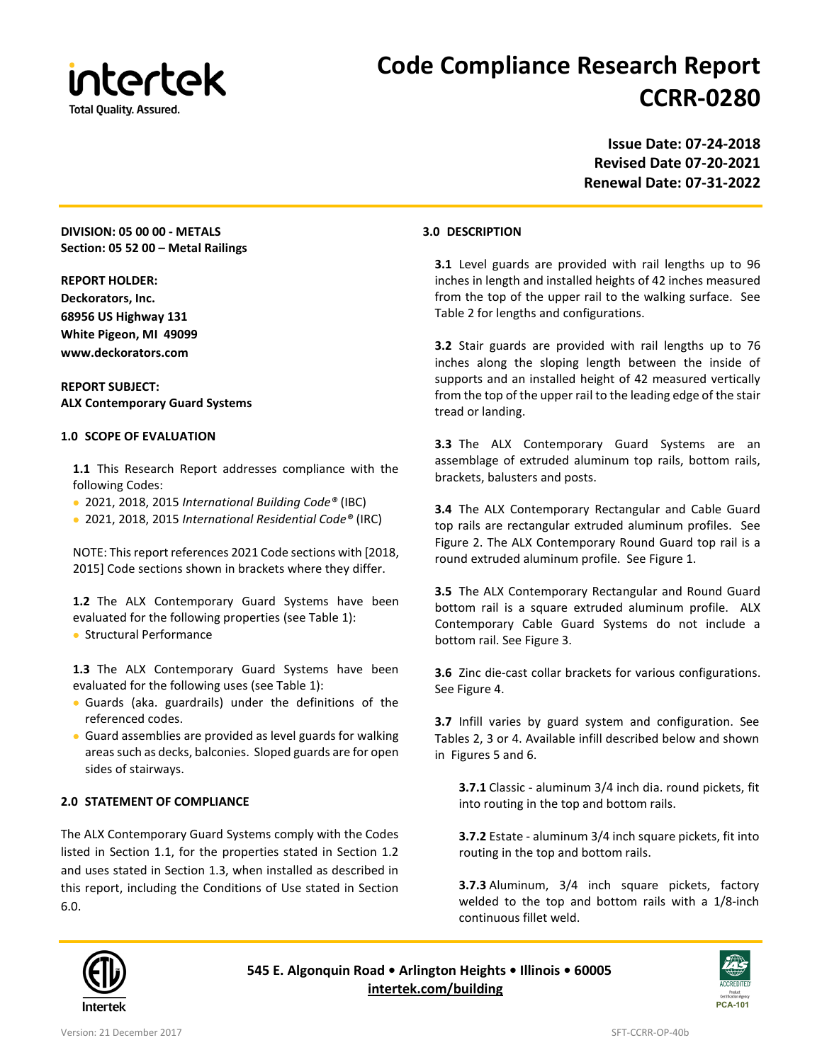

# **Code Compliance Research Report CCRR-0280**

**Issue Date: 07-24-2018 Revised Date 07-20-2021 Renewal Date: 07-31-2022**

# **DIVISION: 05 00 00 - METALS Section: 05 52 00 – Metal Railings**

#### **REPORT HOLDER:**

**Deckorators, Inc. 68956 US Highway 131 White Pigeon, MI 49099 www.deckorators.com**

## **REPORT SUBJECT: ALX Contemporary Guard Systems**

#### **1.0 SCOPE OF EVALUATION**

**1.1** This Research Report addresses compliance with the following Codes:

- 2021, 2018, 2015 *International Building Code®* (IBC)
- 2021, 2018, 2015 *International Residential Code®* (IRC)

NOTE: This report references 2021 Code sections with [2018, 2015] Code sections shown in brackets where they differ.

**1.2** The ALX Contemporary Guard Systems have been evaluated for the following properties (see Table 1): • Structural Performance

**1.3** The ALX Contemporary Guard Systems have been evaluated for the following uses (see Table 1):

- Guards (aka. guardrails) under the definitions of the referenced codes.
- Guard assemblies are provided as level guards for walking areas such as decks, balconies. Sloped guards are for open sides of stairways.

# **2.0 STATEMENT OF COMPLIANCE**

The ALX Contemporary Guard Systems comply with the Codes listed in Section 1.1, for the properties stated in Section 1.2 and uses stated in Section 1.3, when installed as described in this report, including the Conditions of Use stated in Section 6.0.

#### **3.0 DESCRIPTION**

**3.1** Level guards are provided with rail lengths up to 96 inches in length and installed heights of 42 inches measured from the top of the upper rail to the walking surface. See Table 2 for lengths and configurations.

**3.2** Stair guards are provided with rail lengths up to 76 inches along the sloping length between the inside of supports and an installed height of 42 measured vertically from the top of the upper rail to the leading edge of the stair tread or landing.

**3.3** The ALX Contemporary Guard Systems are an assemblage of extruded aluminum top rails, bottom rails, brackets, balusters and posts.

**3.4** The ALX Contemporary Rectangular and Cable Guard top rails are rectangular extruded aluminum profiles. See Figure 2. The ALX Contemporary Round Guard top rail is a round extruded aluminum profile. See Figure 1.

**3.5** The ALX Contemporary Rectangular and Round Guard bottom rail is a square extruded aluminum profile. ALX Contemporary Cable Guard Systems do not include a bottom rail. See Figure 3.

**3.6** Zinc die-cast collar brackets for various configurations. See Figure 4.

**3.7** Infill varies by guard system and configuration. See Tables 2, 3 or 4. Available infill described below and shown in Figures 5 and 6.

**3.7.1** Classic - aluminum 3/4 inch dia. round pickets, fit into routing in the top and bottom rails.

**3.7.2** Estate - aluminum 3/4 inch square pickets, fit into routing in the top and bottom rails.

**3.7.3** Aluminum, 3/4 inch square pickets, factory welded to the top and bottom rails with a 1/8-inch continuous fillet weld.



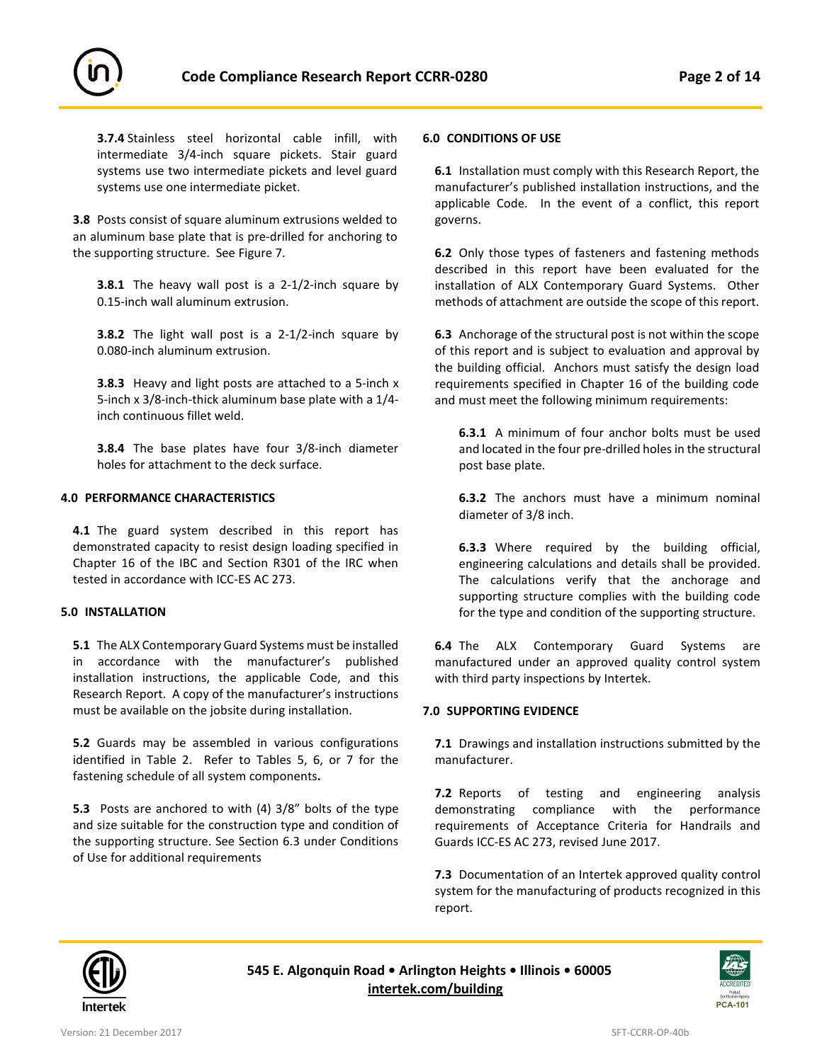

**3.7.4** Stainless steel horizontal cable infill, with intermediate 3/4-inch square pickets. Stair guard systems use two intermediate pickets and level guard systems use one intermediate picket.

**3.8** Posts consist of square aluminum extrusions welded to an aluminum base plate that is pre-drilled for anchoring to the supporting structure. See Figure 7.

**3.8.1** The heavy wall post is a 2-1/2-inch square by 0.15-inch wall aluminum extrusion.

**3.8.2** The light wall post is a 2-1/2-inch square by 0.080-inch aluminum extrusion.

**3.8.3** Heavy and light posts are attached to a 5-inch x 5-inch x 3/8-inch-thick aluminum base plate with a 1/4 inch continuous fillet weld.

**3.8.4** The base plates have four 3/8-inch diameter holes for attachment to the deck surface.

#### **4.0 PERFORMANCE CHARACTERISTICS**

**4.1** The guard system described in this report has demonstrated capacity to resist design loading specified in Chapter 16 of the IBC and Section R301 of the IRC when tested in accordance with ICC-ES AC 273.

#### **5.0 INSTALLATION**

**5.1** The ALX Contemporary Guard Systems must be installed in accordance with the manufacturer's published installation instructions, the applicable Code, and this Research Report. A copy of the manufacturer's instructions must be available on the jobsite during installation.

**5.2** Guards may be assembled in various configurations identified in Table 2. Refer to Tables 5, 6, or 7 for the fastening schedule of all system components**.**

**5.3** Posts are anchored to with (4) 3/8" bolts of the type and size suitable for the construction type and condition of the supporting structure. See Section 6.3 under Conditions of Use for additional requirements

## **6.0 CONDITIONS OF USE**

**6.1** Installation must comply with this Research Report, the manufacturer's published installation instructions, and the applicable Code. In the event of a conflict, this report governs.

**6.2** Only those types of fasteners and fastening methods described in this report have been evaluated for the installation of ALX Contemporary Guard Systems. Other methods of attachment are outside the scope of this report.

**6.3** Anchorage of the structural post is not within the scope of this report and is subject to evaluation and approval by the building official. Anchors must satisfy the design load requirements specified in Chapter 16 of the building code and must meet the following minimum requirements:

**6.3.1** A minimum of four anchor bolts must be used and located in the four pre-drilled holes in the structural post base plate.

**6.3.2** The anchors must have a minimum nominal diameter of 3/8 inch.

**6.3.3** Where required by the building official, engineering calculations and details shall be provided. The calculations verify that the anchorage and supporting structure complies with the building code for the type and condition of the supporting structure.

**6.4** The ALX Contemporary Guard Systems are manufactured under an approved quality control system with third party inspections by Intertek.

#### **7.0 SUPPORTING EVIDENCE**

**7.1** Drawings and installation instructions submitted by the manufacturer.

**7.2** Reports of testing and engineering analysis demonstrating compliance with the performance requirements of Acceptance Criteria for Handrails and Guards ICC-ES AC 273, revised June 2017.

**7.3** Documentation of an Intertek approved quality control system for the manufacturing of products recognized in this report.



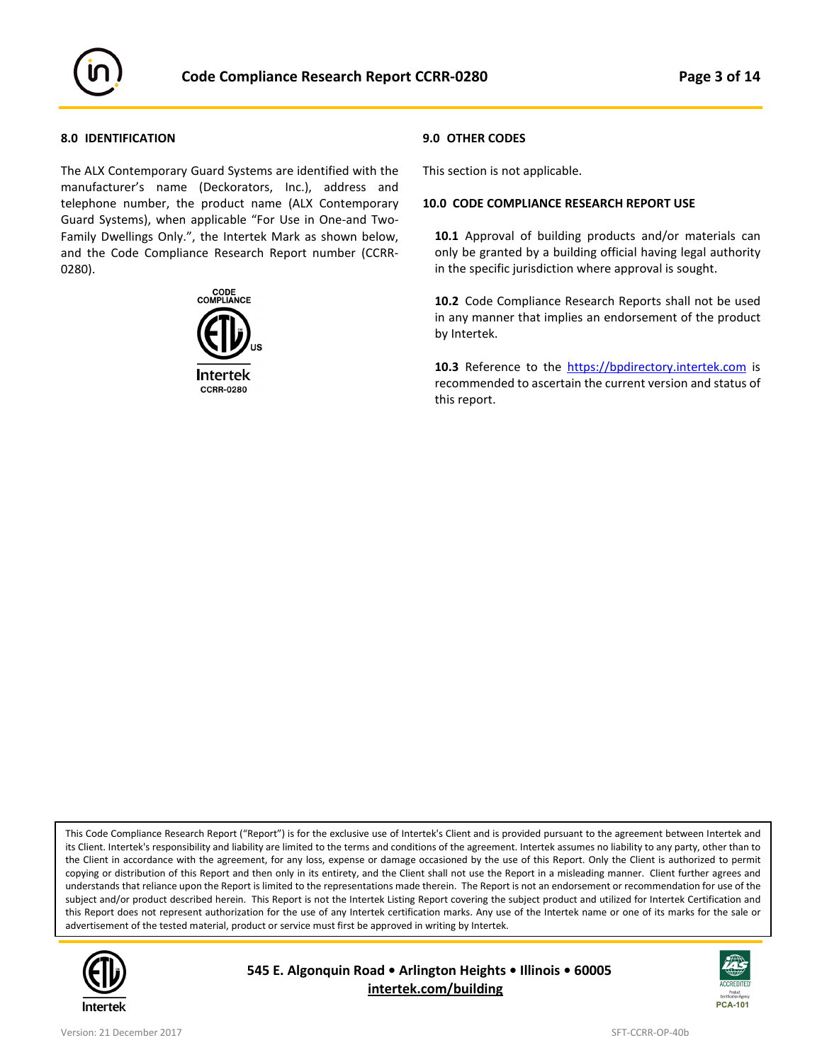

#### **8.0 IDENTIFICATION**

The ALX Contemporary Guard Systems are identified with the manufacturer's name (Deckorators, Inc.), address and telephone number, the product name (ALX Contemporary Guard Systems), when applicable "For Use in One-and Two-Family Dwellings Only.", the Intertek Mark as shown below, and the Code Compliance Research Report number (CCRR-0280).



#### **9.0 OTHER CODES**

This section is not applicable.

#### **10.0 CODE COMPLIANCE RESEARCH REPORT USE**

**10.1** Approval of building products and/or materials can only be granted by a building official having legal authority in the specific jurisdiction where approval is sought.

**10.2** Code Compliance Research Reports shall not be used in any manner that implies an endorsement of the product by Intertek.

**10.3** Reference to the [https://bpdirectory.intertek.com](https://whdirectory.intertek.com/Pages/DLP_Search.aspx) is recommended to ascertain the current version and status of this report.

This Code Compliance Research Report ("Report") is for the exclusive use of Intertek's Client and is provided pursuant to the agreement between Intertek and its Client. Intertek's responsibility and liability are limited to the terms and conditions of the agreement. Intertek assumes no liability to any party, other than to the Client in accordance with the agreement, for any loss, expense or damage occasioned by the use of this Report. Only the Client is authorized to permit copying or distribution of this Report and then only in its entirety, and the Client shall not use the Report in a misleading manner. Client further agrees and understands that reliance upon the Report is limited to the representations made therein. The Report is not an endorsement or recommendation for use of the subject and/or product described herein. This Report is not the Intertek Listing Report covering the subject product and utilized for Intertek Certification and this Report does not represent authorization for the use of any Intertek certification marks. Any use of the Intertek name or one of its marks for the sale or advertisement of the tested material, product or service must first be approved in writing by Intertek.



ׇ֘֒

**545 E. Algonquin Road • Arlington Heights • Illinois • 60005 [intertek.com/building](http://www.intertek.com/building/)**

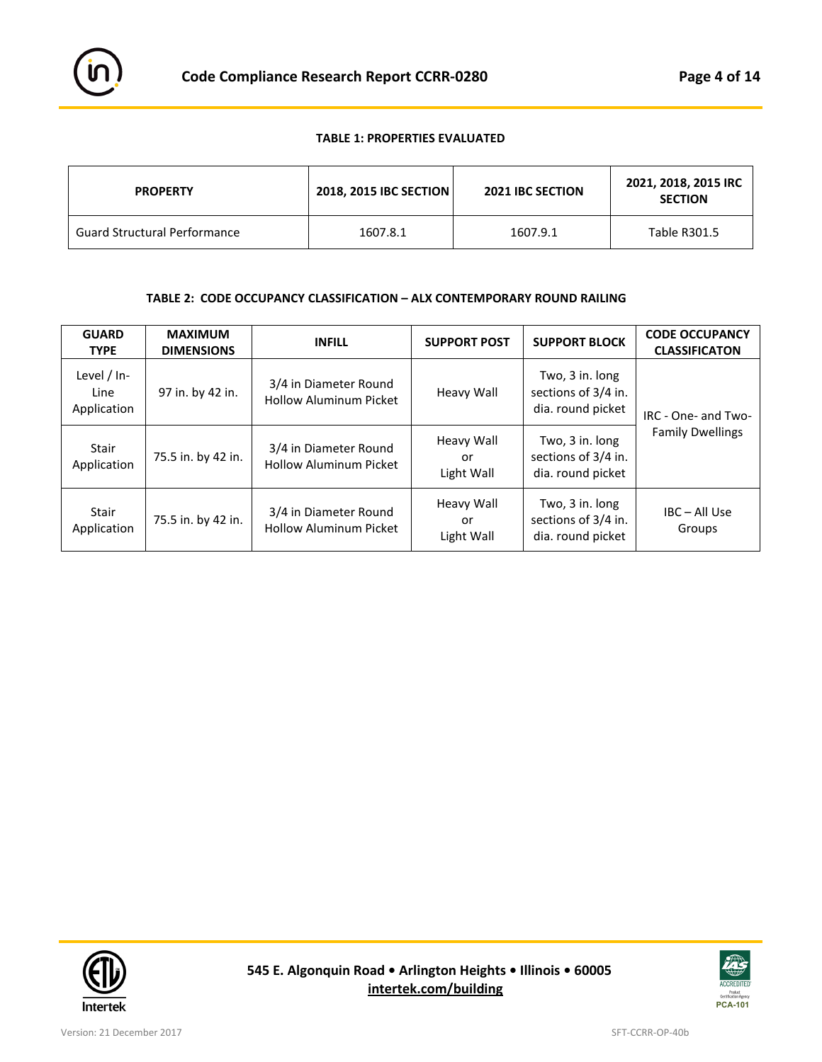

# **TABLE 1: PROPERTIES EVALUATED**

| <b>PROPERTY</b>                     | 2018, 2015 IBC SECTION | <b>2021 IBC SECTION</b> | 2021, 2018, 2015 IRC<br><b>SECTION</b> |
|-------------------------------------|------------------------|-------------------------|----------------------------------------|
| <b>Guard Structural Performance</b> | 1607.8.1               | 1607.9.1                | Table R301.5                           |

# **TABLE 2: CODE OCCUPANCY CLASSIFICATION – ALX CONTEMPORARY ROUND RAILING**

| <b>GUARD</b><br><b>TYPE</b>        | <b>MAXIMUM</b><br><b>DIMENSIONS</b> | <b>INFILL</b>                                          | <b>SUPPORT POST</b>            | <b>SUPPORT BLOCK</b>                                        | <b>CODE OCCUPANCY</b><br><b>CLASSIFICATON</b> |
|------------------------------------|-------------------------------------|--------------------------------------------------------|--------------------------------|-------------------------------------------------------------|-----------------------------------------------|
| Level / In-<br>Line<br>Application | 97 in. by 42 in.                    | 3/4 in Diameter Round<br><b>Hollow Aluminum Picket</b> | Heavy Wall                     | Two, 3 in. long<br>sections of 3/4 in.<br>dia. round picket | IRC - One- and Two-                           |
| Stair<br>Application               | 75.5 in. by 42 in.                  | 3/4 in Diameter Round<br><b>Hollow Aluminum Picket</b> | Heavy Wall<br>or<br>Light Wall | Two, 3 in. long<br>sections of 3/4 in.<br>dia. round picket | <b>Family Dwellings</b>                       |
| Stair<br>Application               | 75.5 in. by 42 in.                  | 3/4 in Diameter Round<br><b>Hollow Aluminum Picket</b> | Heavy Wall<br>or<br>Light Wall | Two, 3 in. long<br>sections of 3/4 in.<br>dia. round picket | IBC - All Use<br>Groups                       |



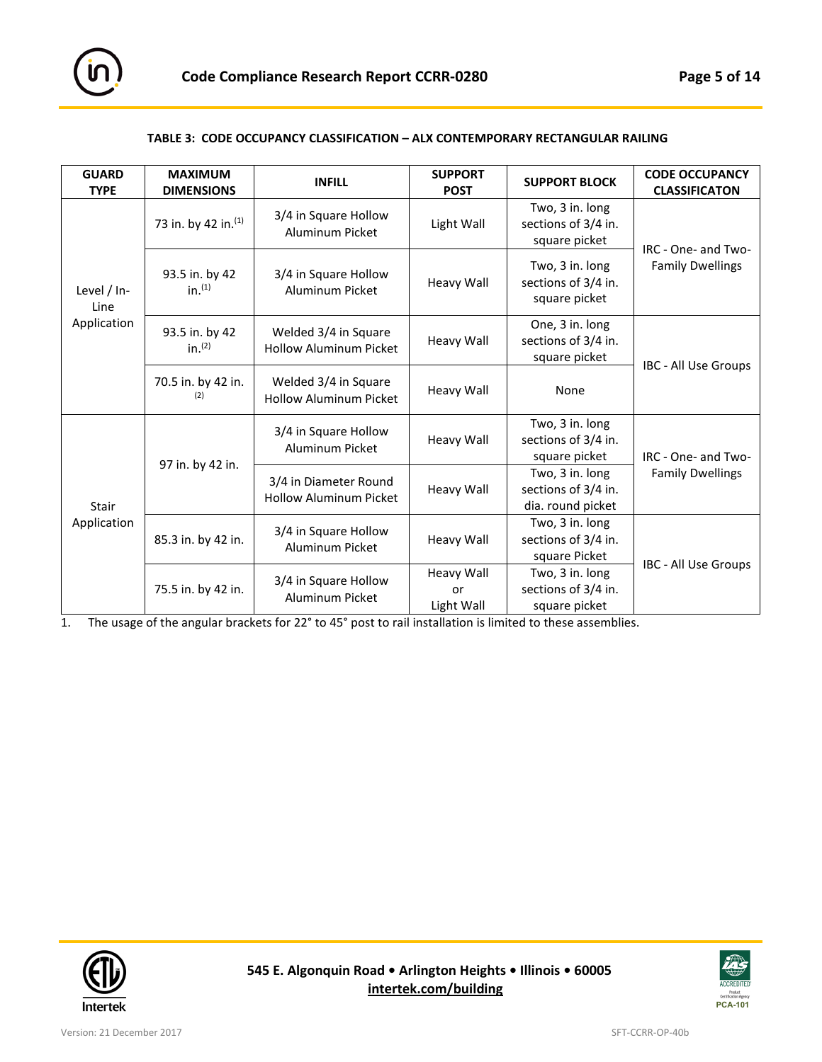

#### **TABLE 3: CODE OCCUPANCY CLASSIFICATION – ALX CONTEMPORARY RECTANGULAR RAILING**

| <b>GUARD</b><br><b>TYPE</b>                                                                                                                                             | <b>MAXIMUM</b><br><b>DIMENSIONS</b>                   | <b>INFILL</b>                                          | <b>SUPPORT</b><br><b>POST</b>                           | <b>SUPPORT BLOCK</b>                                    | <b>CODE OCCUPANCY</b><br><b>CLASSIFICATON</b>               |                         |
|-------------------------------------------------------------------------------------------------------------------------------------------------------------------------|-------------------------------------------------------|--------------------------------------------------------|---------------------------------------------------------|---------------------------------------------------------|-------------------------------------------------------------|-------------------------|
| 73 in. by 42 in. (1)<br>93.5 in. by 42<br>in. <sup>(1)</sup><br>Level / In-<br>Line<br>Application<br>93.5 in. by 42<br>in. <sup>(2)</sup><br>70.5 in. by 42 in.<br>(2) |                                                       | 3/4 in Square Hollow<br>Aluminum Picket                | Light Wall                                              | Two, 3 in. long<br>sections of 3/4 in.<br>square picket | IRC - One- and Two-<br><b>Family Dwellings</b>              |                         |
|                                                                                                                                                                         |                                                       | 3/4 in Square Hollow<br>Aluminum Picket                | <b>Heavy Wall</b>                                       | Two, 3 in. long<br>sections of 3/4 in.<br>square picket |                                                             |                         |
|                                                                                                                                                                         | Welded 3/4 in Square<br><b>Hollow Aluminum Picket</b> | <b>Heavy Wall</b>                                      | One, 3 in. long<br>sections of 3/4 in.<br>square picket | IBC - All Use Groups                                    |                                                             |                         |
|                                                                                                                                                                         |                                                       | Welded 3/4 in Square<br><b>Hollow Aluminum Picket</b>  | <b>Heavy Wall</b>                                       | None                                                    |                                                             |                         |
| <b>Stair</b><br>Application                                                                                                                                             | 97 in. by 42 in.                                      | 3/4 in Square Hollow<br><b>Aluminum Picket</b>         | <b>Heavy Wall</b>                                       | Two, 3 in. long<br>sections of 3/4 in.<br>square picket | IRC - One- and Two-                                         |                         |
|                                                                                                                                                                         |                                                       | 3/4 in Diameter Round<br><b>Hollow Aluminum Picket</b> |                                                         | <b>Heavy Wall</b>                                       | Two, 3 in. long<br>sections of 3/4 in.<br>dia. round picket | <b>Family Dwellings</b> |
|                                                                                                                                                                         | 85.3 in. by 42 in.                                    | 3/4 in Square Hollow<br><b>Aluminum Picket</b>         | <b>Heavy Wall</b>                                       | Two, 3 in. long<br>sections of 3/4 in.<br>square Picket | IBC - All Use Groups                                        |                         |
|                                                                                                                                                                         | 75.5 in. by 42 in.                                    | 3/4 in Square Hollow<br><b>Aluminum Picket</b>         | <b>Heavy Wall</b><br>or<br>Light Wall                   | Two, 3 in. long<br>sections of 3/4 in.<br>square picket |                                                             |                         |

1. The usage of the angular brackets for 22° to 45° post to rail installation is limited to these assemblies.



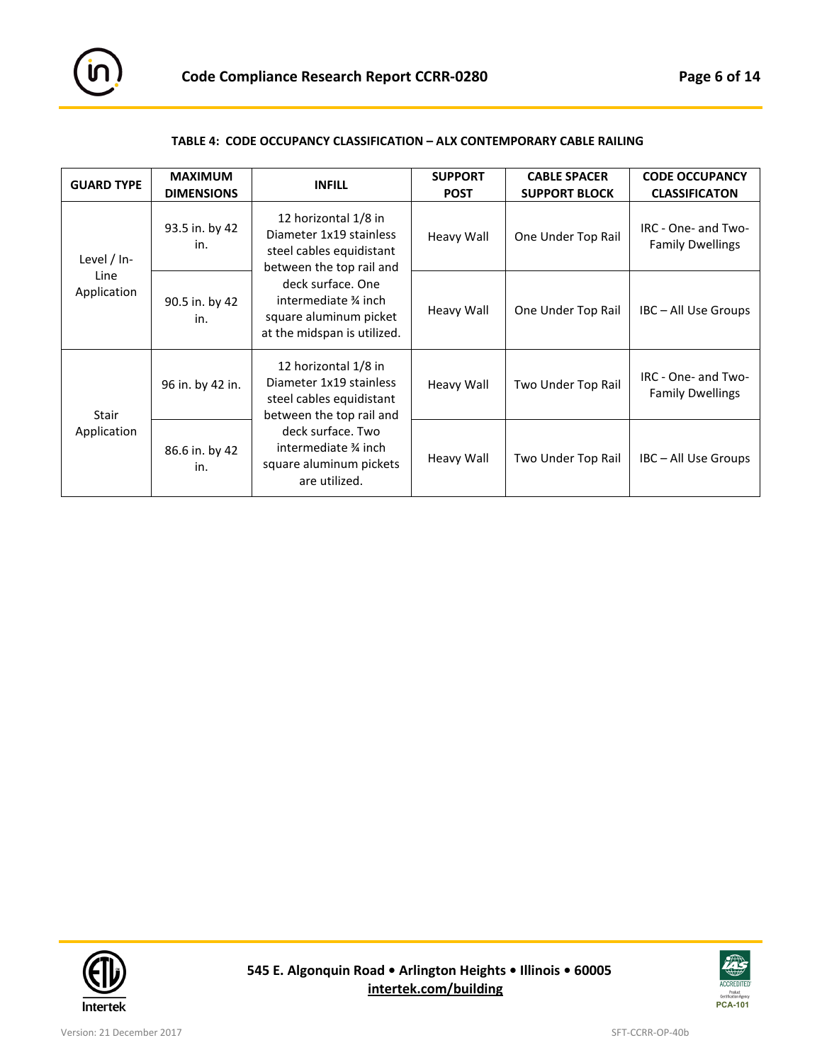

# **TABLE 4: CODE OCCUPANCY CLASSIFICATION – ALX CONTEMPORARY CABLE RAILING**

| <b>GUARD TYPE</b>                                 | <b>MAXIMUM</b><br><b>DIMENSIONS</b>                                                               | <b>INFILL</b>                                                                                           | <b>SUPPORT</b><br><b>POST</b> | <b>CABLE SPACER</b><br><b>SUPPORT BLOCK</b> | <b>CODE OCCUPANCY</b><br><b>CLASSIFICATON</b>  |
|---------------------------------------------------|---------------------------------------------------------------------------------------------------|---------------------------------------------------------------------------------------------------------|-------------------------------|---------------------------------------------|------------------------------------------------|
| Level $/$ In-                                     | 93.5 in. by 42<br>in.                                                                             | 12 horizontal 1/8 in<br>Diameter 1x19 stainless<br>steel cables equidistant<br>between the top rail and | Heavy Wall                    | One Under Top Rail                          | IRC - One- and Two-<br><b>Family Dwellings</b> |
| Line<br>Application<br>90.5 in. by 42<br>in.      | deck surface. One<br>intermediate % inch<br>square aluminum picket<br>at the midspan is utilized. | <b>Heavy Wall</b>                                                                                       | One Under Top Rail            | IBC-All Use Groups                          |                                                |
| 12 horizontal 1/8 in<br>96 in. by 42 in.<br>Stair |                                                                                                   | Diameter 1x19 stainless<br>steel cables equidistant<br>between the top rail and                         | Heavy Wall                    | Two Under Top Rail                          | IRC - One- and Two-<br><b>Family Dwellings</b> |
| Application                                       | 86.6 in. by 42<br>in.                                                                             | deck surface. Two<br>intermediate % inch<br>square aluminum pickets<br>are utilized.                    | Heavy Wall                    | Two Under Top Rail                          | IBC - All Use Groups                           |



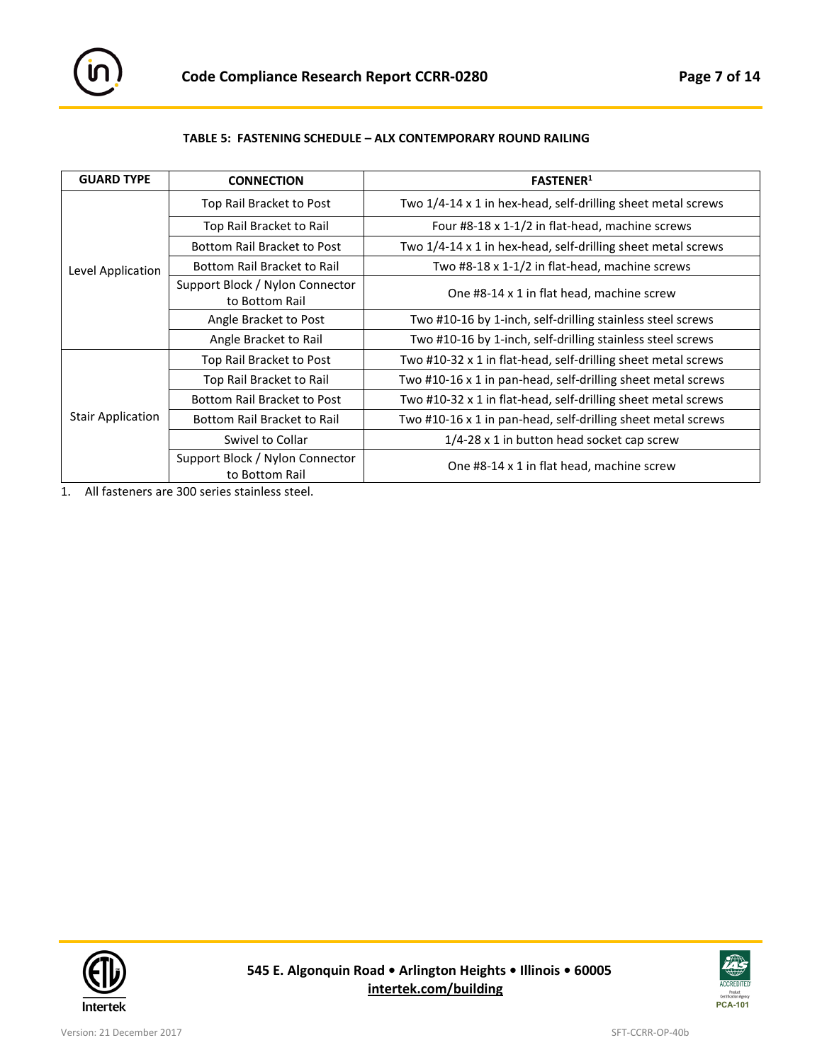

# **TABLE 5: FASTENING SCHEDULE – ALX CONTEMPORARY ROUND RAILING**

| <b>GUARD TYPE</b>        | <b>CONNECTION</b>                                 | <b>FASTENER</b> <sup>1</sup>                                  |  |
|--------------------------|---------------------------------------------------|---------------------------------------------------------------|--|
|                          | Top Rail Bracket to Post                          | Two 1/4-14 x 1 in hex-head, self-drilling sheet metal screws  |  |
|                          | Top Rail Bracket to Rail                          | Four #8-18 x 1-1/2 in flat-head, machine screws               |  |
|                          | <b>Bottom Rail Bracket to Post</b>                | Two 1/4-14 x 1 in hex-head, self-drilling sheet metal screws  |  |
| Level Application        | Bottom Rail Bracket to Rail                       | Two #8-18 x 1-1/2 in flat-head, machine screws                |  |
|                          | Support Block / Nylon Connector<br>to Bottom Rail | One #8-14 x 1 in flat head, machine screw                     |  |
|                          | Angle Bracket to Post                             | Two #10-16 by 1-inch, self-drilling stainless steel screws    |  |
|                          | Angle Bracket to Rail                             | Two #10-16 by 1-inch, self-drilling stainless steel screws    |  |
|                          | Top Rail Bracket to Post                          | Two #10-32 x 1 in flat-head, self-drilling sheet metal screws |  |
| <b>Stair Application</b> | Top Rail Bracket to Rail                          | Two #10-16 x 1 in pan-head, self-drilling sheet metal screws  |  |
|                          | <b>Bottom Rail Bracket to Post</b>                | Two #10-32 x 1 in flat-head, self-drilling sheet metal screws |  |
|                          | <b>Bottom Rail Bracket to Rail</b>                | Two #10-16 x 1 in pan-head, self-drilling sheet metal screws  |  |
|                          | Swivel to Collar                                  | 1/4-28 x 1 in button head socket cap screw                    |  |
|                          | Support Block / Nylon Connector<br>to Bottom Rail | One #8-14 x 1 in flat head, machine screw                     |  |

1. All fasteners are 300 series stainless steel.



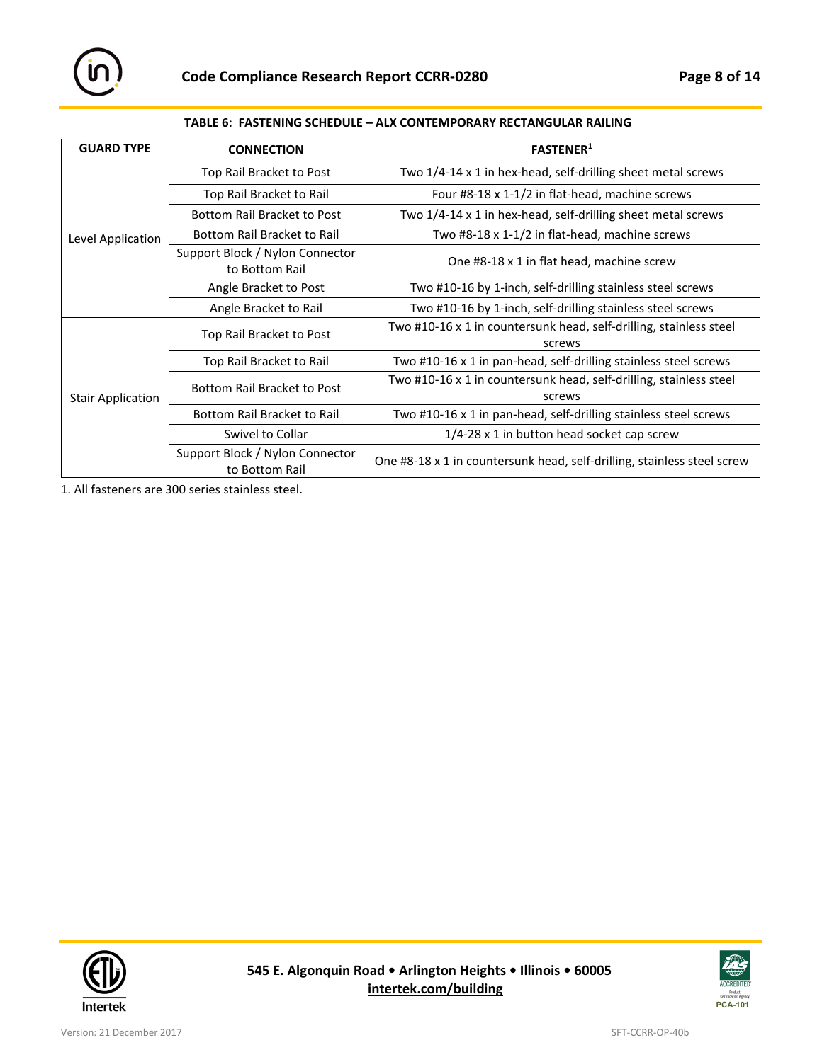

# **TABLE 6: FASTENING SCHEDULE – ALX CONTEMPORARY RECTANGULAR RAILING**

| <b>GUARD TYPE</b>        | <b>CONNECTION</b>                                 | <b>FASTENER</b> <sup>1</sup>                                                 |
|--------------------------|---------------------------------------------------|------------------------------------------------------------------------------|
|                          | Top Rail Bracket to Post                          | Two 1/4-14 x 1 in hex-head, self-drilling sheet metal screws                 |
|                          | Top Rail Bracket to Rail                          | Four #8-18 x 1-1/2 in flat-head, machine screws                              |
|                          | Bottom Rail Bracket to Post                       | Two 1/4-14 x 1 in hex-head, self-drilling sheet metal screws                 |
| Level Application        | Bottom Rail Bracket to Rail                       | Two #8-18 x 1-1/2 in flat-head, machine screws                               |
|                          | Support Block / Nylon Connector<br>to Bottom Rail | One #8-18 x 1 in flat head, machine screw                                    |
|                          | Angle Bracket to Post                             | Two #10-16 by 1-inch, self-drilling stainless steel screws                   |
|                          | Angle Bracket to Rail                             | Two #10-16 by 1-inch, self-drilling stainless steel screws                   |
| <b>Stair Application</b> | Top Rail Bracket to Post                          | Two #10-16 x 1 in countersunk head, self-drilling, stainless steel<br>screws |
|                          | Top Rail Bracket to Rail                          | Two #10-16 x 1 in pan-head, self-drilling stainless steel screws             |
|                          | <b>Bottom Rail Bracket to Post</b>                | Two #10-16 x 1 in countersunk head, self-drilling, stainless steel<br>screws |
|                          | Bottom Rail Bracket to Rail                       | Two #10-16 x 1 in pan-head, self-drilling stainless steel screws             |
|                          | Swivel to Collar                                  | 1/4-28 x 1 in button head socket cap screw                                   |
|                          | Support Block / Nylon Connector<br>to Bottom Rail | One #8-18 x 1 in countersunk head, self-drilling, stainless steel screw      |

1. All fasteners are 300 series stainless steel.



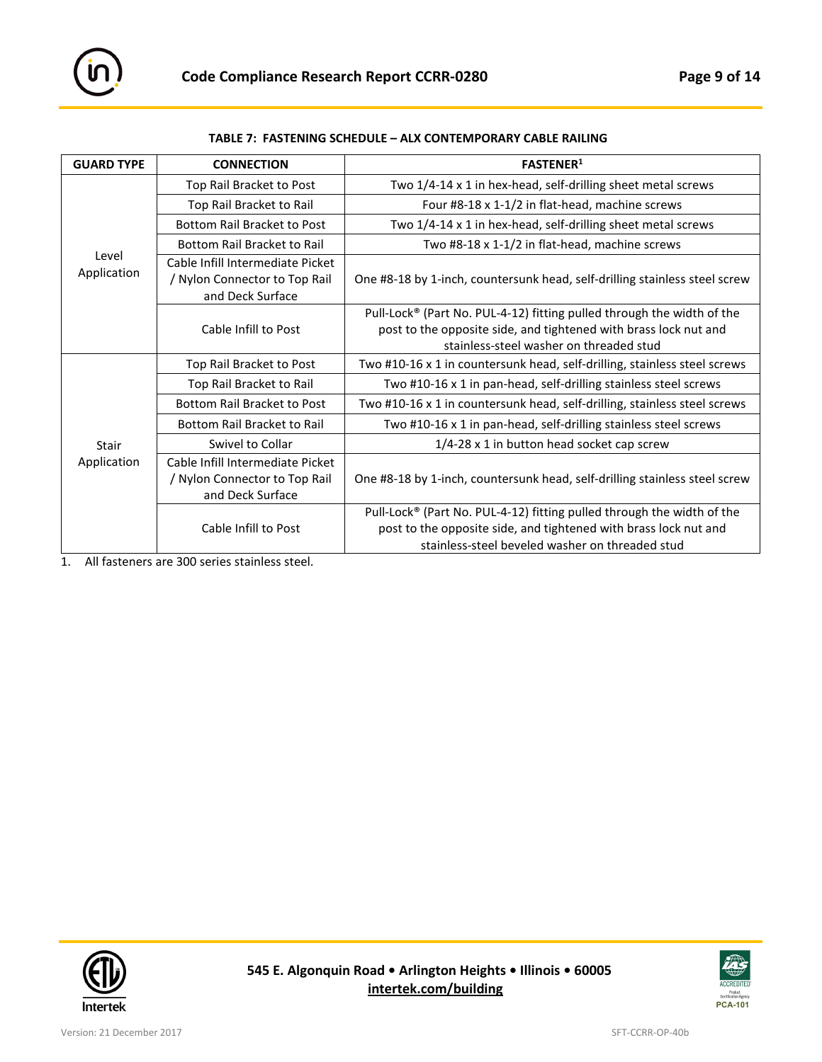

| TABLE 7:  FASTENING SCHEDULE – ALX CONTEMPORARY CABLE RAILING |
|---------------------------------------------------------------|
|---------------------------------------------------------------|

| <b>GUARD TYPE</b>    | <b>CONNECTION</b>                                                                     | <b>FASTENER1</b>                                                                                                                                                                              |  |
|----------------------|---------------------------------------------------------------------------------------|-----------------------------------------------------------------------------------------------------------------------------------------------------------------------------------------------|--|
|                      | Top Rail Bracket to Post                                                              | Two 1/4-14 x 1 in hex-head, self-drilling sheet metal screws                                                                                                                                  |  |
|                      | Top Rail Bracket to Rail                                                              | Four #8-18 x 1-1/2 in flat-head, machine screws                                                                                                                                               |  |
|                      | <b>Bottom Rail Bracket to Post</b>                                                    | Two 1/4-14 x 1 in hex-head, self-drilling sheet metal screws                                                                                                                                  |  |
|                      | <b>Bottom Rail Bracket to Rail</b>                                                    | Two #8-18 x 1-1/2 in flat-head, machine screws                                                                                                                                                |  |
| Level<br>Application | Cable Infill Intermediate Picket<br>/ Nylon Connector to Top Rail<br>and Deck Surface | One #8-18 by 1-inch, countersunk head, self-drilling stainless steel screw                                                                                                                    |  |
|                      | Cable Infill to Post                                                                  | Pull-Lock® (Part No. PUL-4-12) fitting pulled through the width of the<br>post to the opposite side, and tightened with brass lock nut and<br>stainless-steel washer on threaded stud         |  |
|                      | Top Rail Bracket to Post                                                              | Two #10-16 x 1 in countersunk head, self-drilling, stainless steel screws                                                                                                                     |  |
|                      | Top Rail Bracket to Rail                                                              | Two #10-16 x 1 in pan-head, self-drilling stainless steel screws                                                                                                                              |  |
|                      | Bottom Rail Bracket to Post                                                           | Two #10-16 x 1 in countersunk head, self-drilling, stainless steel screws                                                                                                                     |  |
|                      | <b>Bottom Rail Bracket to Rail</b>                                                    | Two #10-16 x 1 in pan-head, self-drilling stainless steel screws                                                                                                                              |  |
| <b>Stair</b>         | Swivel to Collar                                                                      | 1/4-28 x 1 in button head socket cap screw                                                                                                                                                    |  |
| Application          | Cable Infill Intermediate Picket<br>/ Nylon Connector to Top Rail<br>and Deck Surface | One #8-18 by 1-inch, countersunk head, self-drilling stainless steel screw                                                                                                                    |  |
|                      | Cable Infill to Post                                                                  | Pull-Lock® (Part No. PUL-4-12) fitting pulled through the width of the<br>post to the opposite side, and tightened with brass lock nut and<br>stainless-steel beveled washer on threaded stud |  |

1. All fasteners are 300 series stainless steel.



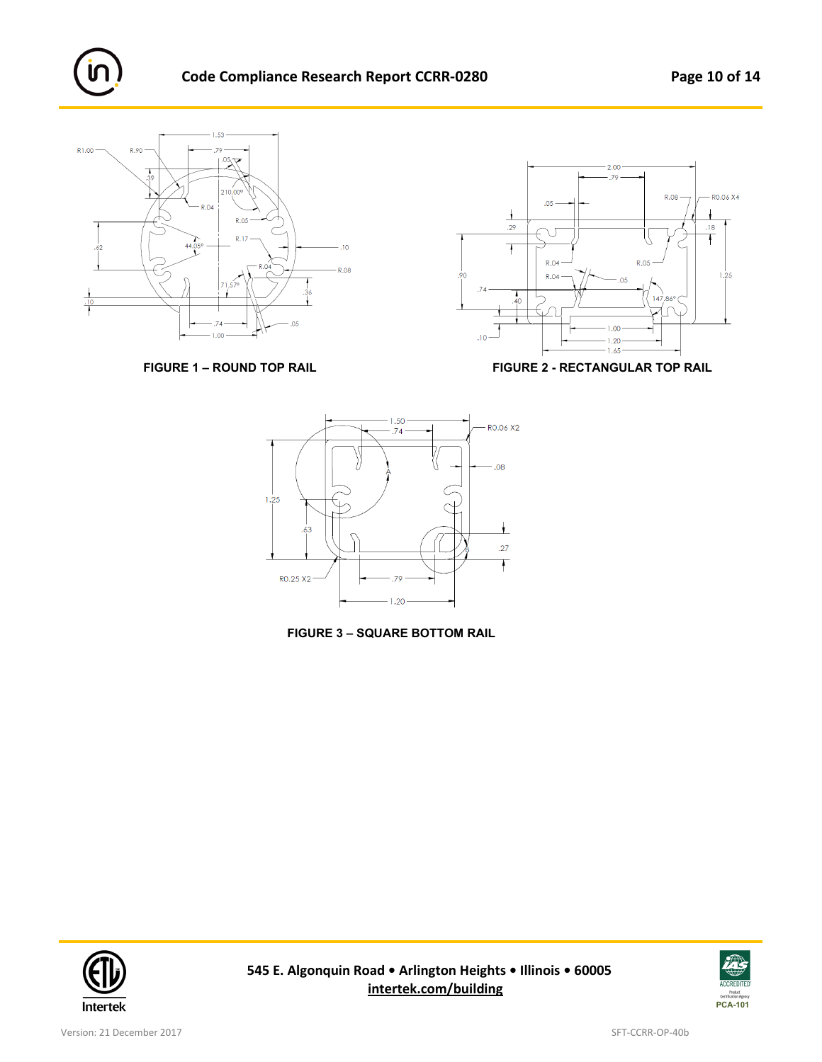















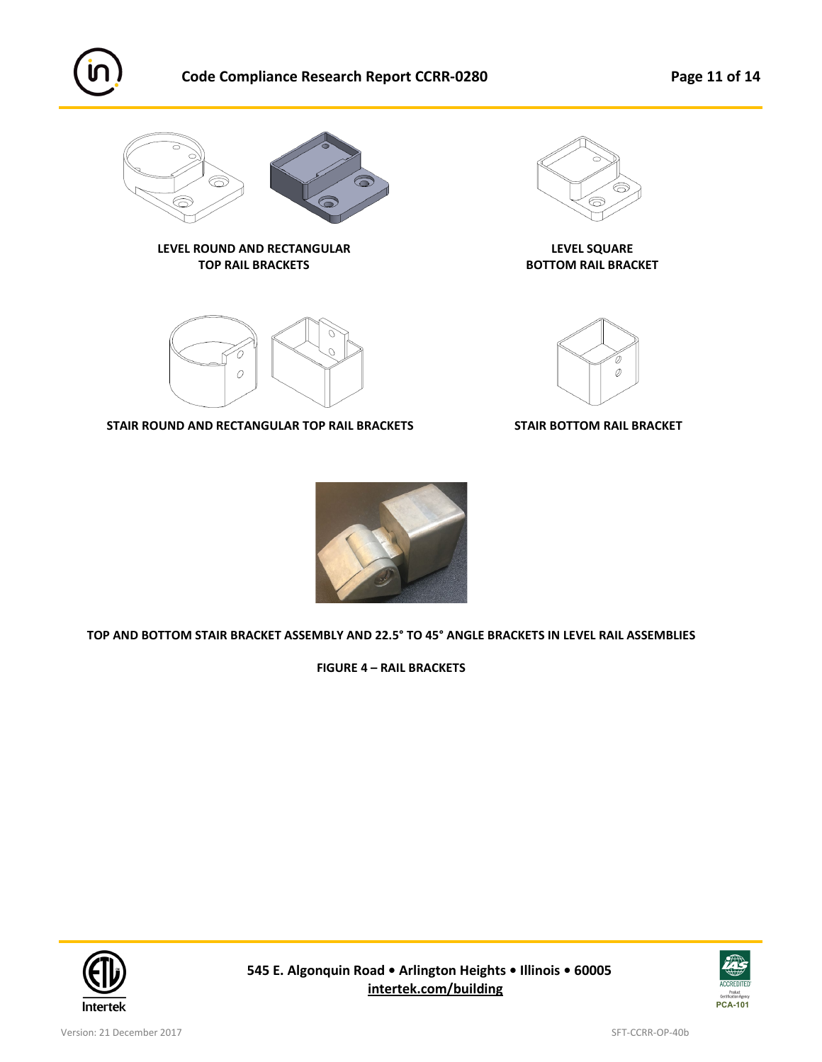

# **Code Compliance Research Report CCRR-0280 Page 11 of 14**





**LEVEL ROUND AND RECTANGULAR LEVEL SQUARE TOP RAIL BRACKETS BOTTOM RAIL BRACKET**





**STAIR ROUND AND RECTANGULAR TOP RAIL BRACKETS STAIR BOTTOM RAIL BRACKET**





**TOP AND BOTTOM STAIR BRACKET ASSEMBLY AND 22.5° TO 45° ANGLE BRACKETS IN LEVEL RAIL ASSEMBLIES**

**FIGURE 4 – RAIL BRACKETS**



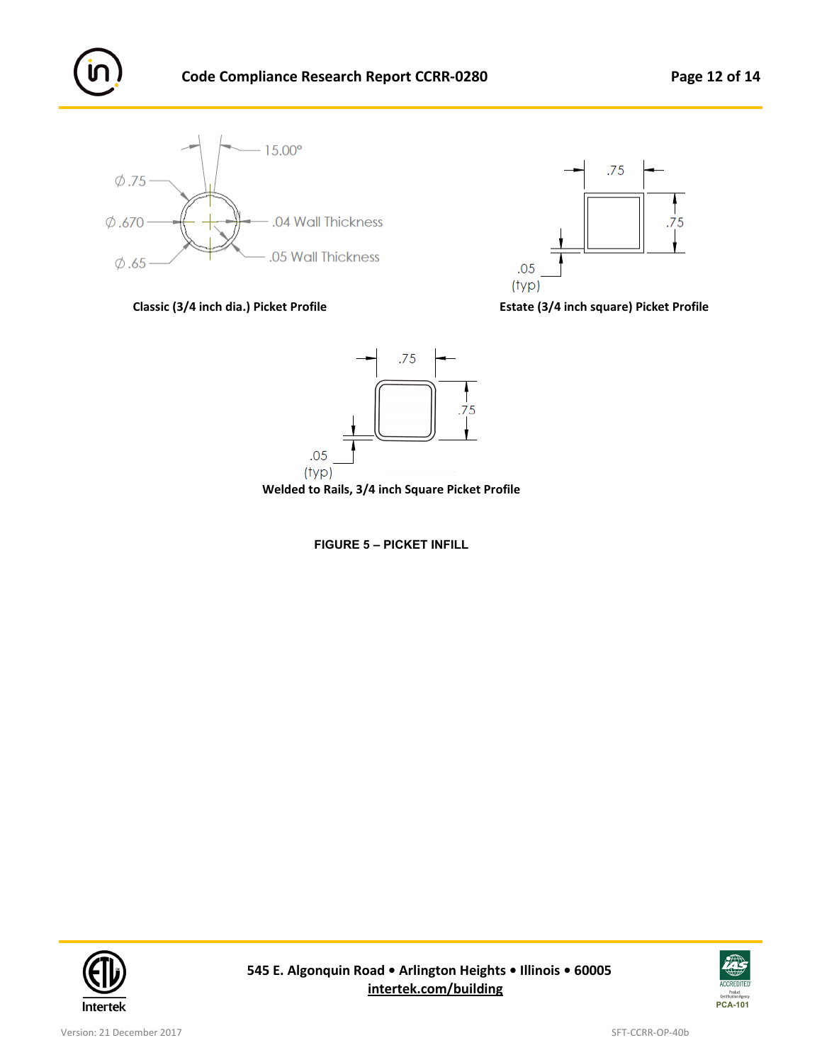









**Welded to Rails, 3/4 inch Square Picket Profile**

**FIGURE 5 – PICKET INFILL**



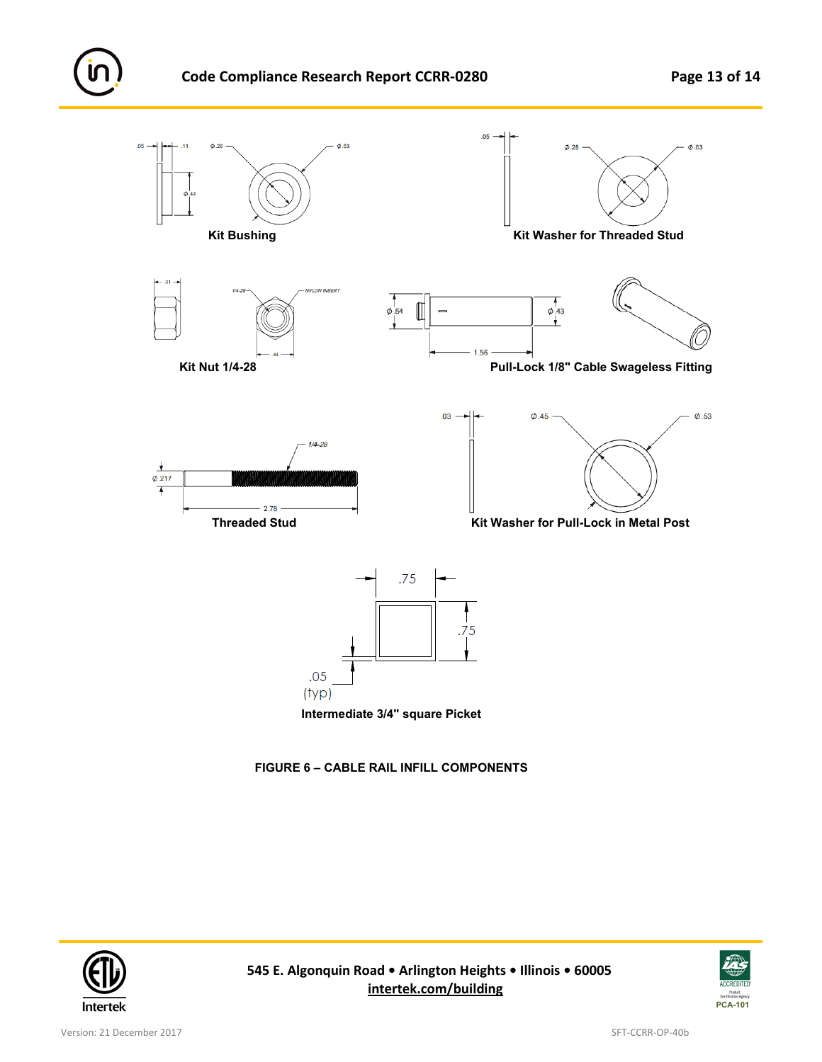

**FIGURE 6 – CABLE RAIL INFILL COMPONENTS**